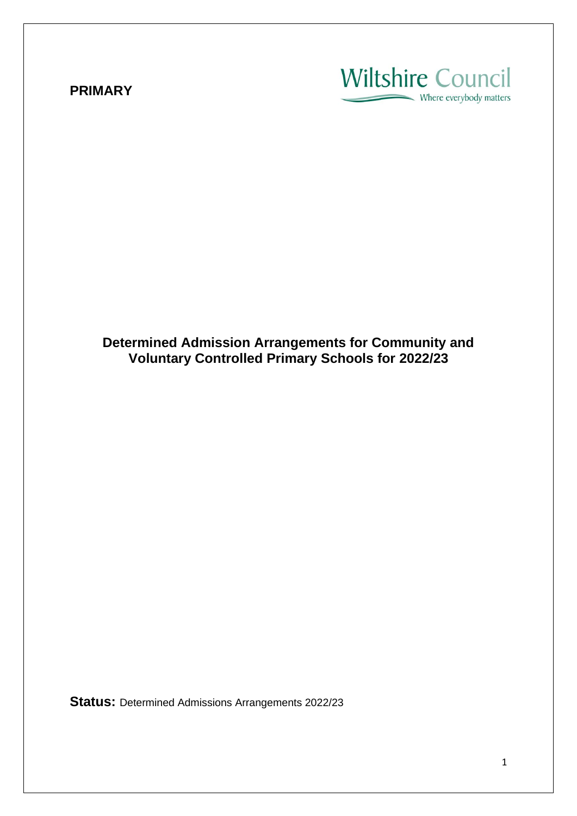## **PRIMARY**

# **Wiltshire Council**  $\sim$  Where everybody matters

**Determined Admission Arrangements for Community and Voluntary Controlled Primary Schools for 2022/23**

**Status:** Determined Admissions Arrangements 2022/23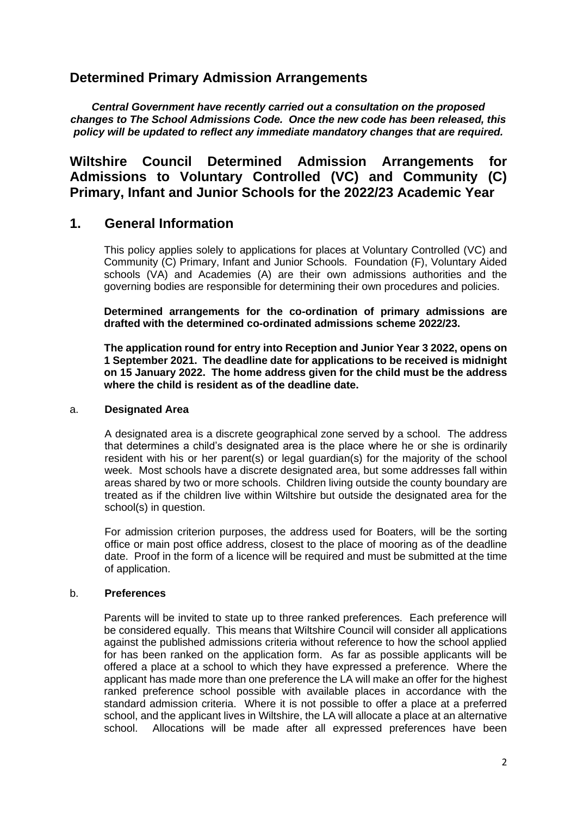## **Determined Primary Admission Arrangements**

*Central Government have recently carried out a consultation on the proposed changes to The School Admissions Code. Once the new code has been released, this policy will be updated to reflect any immediate mandatory changes that are required.*

## **Wiltshire Council Determined Admission Arrangements for Admissions to Voluntary Controlled (VC) and Community (C) Primary, Infant and Junior Schools for the 2022/23 Academic Year**

## **1. General Information**

This policy applies solely to applications for places at Voluntary Controlled (VC) and Community (C) Primary, Infant and Junior Schools. Foundation (F), Voluntary Aided schools (VA) and Academies (A) are their own admissions authorities and the governing bodies are responsible for determining their own procedures and policies.

**Determined arrangements for the co-ordination of primary admissions are drafted with the determined co-ordinated admissions scheme 2022/23.**

**The application round for entry into Reception and Junior Year 3 2022, opens on 1 September 2021. The deadline date for applications to be received is midnight on 15 January 2022. The home address given for the child must be the address where the child is resident as of the deadline date.**

### a. **Designated Area**

A designated area is a discrete geographical zone served by a school. The address that determines a child's designated area is the place where he or she is ordinarily resident with his or her parent(s) or legal guardian(s) for the majority of the school week. Most schools have a discrete designated area, but some addresses fall within areas shared by two or more schools. Children living outside the county boundary are treated as if the children live within Wiltshire but outside the designated area for the school(s) in question.

For admission criterion purposes, the address used for Boaters, will be the sorting office or main post office address, closest to the place of mooring as of the deadline date. Proof in the form of a licence will be required and must be submitted at the time of application.

### b. **Preferences**

Parents will be invited to state up to three ranked preferences. Each preference will be considered equally. This means that Wiltshire Council will consider all applications against the published admissions criteria without reference to how the school applied for has been ranked on the application form. As far as possible applicants will be offered a place at a school to which they have expressed a preference. Where the applicant has made more than one preference the LA will make an offer for the highest ranked preference school possible with available places in accordance with the standard admission criteria. Where it is not possible to offer a place at a preferred school, and the applicant lives in Wiltshire, the LA will allocate a place at an alternative school. Allocations will be made after all expressed preferences have been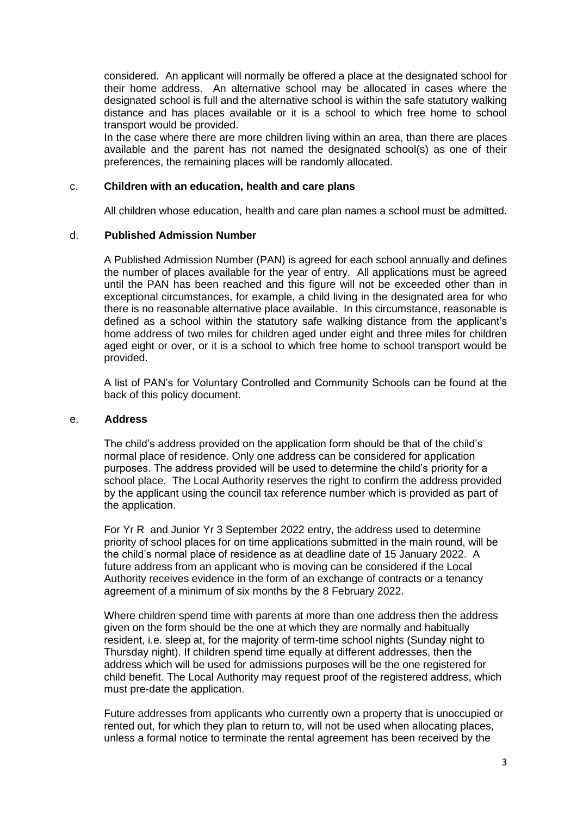considered. An applicant will normally be offered a place at the designated school for their home address. An alternative school may be allocated in cases where the designated school is full and the alternative school is within the safe statutory walking distance and has places available or it is a school to which free home to school transport would be provided.

In the case where there are more children living within an area, than there are places available and the parent has not named the designated school(s) as one of their preferences, the remaining places will be randomly allocated.

#### c. **Children with an education, health and care plans**

All children whose education, health and care plan names a school must be admitted.

#### d. **Published Admission Number**

A Published Admission Number (PAN) is agreed for each school annually and defines the number of places available for the year of entry. All applications must be agreed until the PAN has been reached and this figure will not be exceeded other than in exceptional circumstances, for example, a child living in the designated area for who there is no reasonable alternative place available. In this circumstance, reasonable is defined as a school within the statutory safe walking distance from the applicant's home address of two miles for children aged under eight and three miles for children aged eight or over, or it is a school to which free home to school transport would be provided.

A list of PAN's for Voluntary Controlled and Community Schools can be found at the back of this policy document.

#### e. **Address**

The child's address provided on the application form should be that of the child's normal place of residence. Only one address can be considered for application purposes. The address provided will be used to determine the child's priority for a school place. The Local Authority reserves the right to confirm the address provided by the applicant using the council tax reference number which is provided as part of the application.

For Yr R and Junior Yr 3 September 2022 entry, the address used to determine priority of school places for on time applications submitted in the main round, will be the child's normal place of residence as at deadline date of 15 January 2022. A future address from an applicant who is moving can be considered if the Local Authority receives evidence in the form of an exchange of contracts or a tenancy agreement of a minimum of six months by the 8 February 2022.

Where children spend time with parents at more than one address then the address given on the form should be the one at which they are normally and habitually resident, i.e. sleep at, for the majority of term-time school nights (Sunday night to Thursday night). If children spend time equally at different addresses, then the address which will be used for admissions purposes will be the one registered for child benefit. The Local Authority may request proof of the registered address, which must pre-date the application.

Future addresses from applicants who currently own a property that is unoccupied or rented out, for which they plan to return to, will not be used when allocating places, unless a formal notice to terminate the rental agreement has been received by the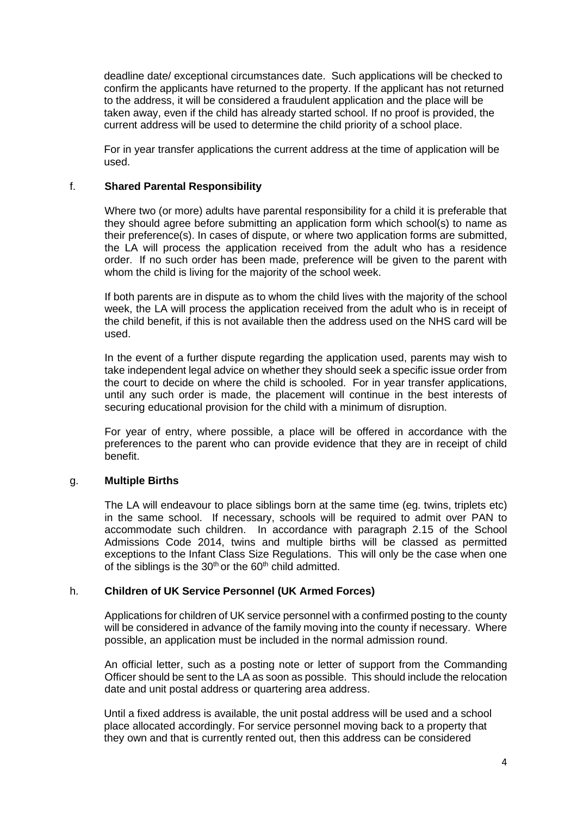deadline date/ exceptional circumstances date. Such applications will be checked to confirm the applicants have returned to the property. If the applicant has not returned to the address, it will be considered a fraudulent application and the place will be taken away, even if the child has already started school. If no proof is provided, the current address will be used to determine the child priority of a school place.

For in year transfer applications the current address at the time of application will be used.

### f. **Shared Parental Responsibility**

Where two (or more) adults have parental responsibility for a child it is preferable that they should agree before submitting an application form which school(s) to name as their preference(s). In cases of dispute, or where two application forms are submitted, the LA will process the application received from the adult who has a residence order. If no such order has been made, preference will be given to the parent with whom the child is living for the majority of the school week.

If both parents are in dispute as to whom the child lives with the majority of the school week, the LA will process the application received from the adult who is in receipt of the child benefit, if this is not available then the address used on the NHS card will be used.

In the event of a further dispute regarding the application used, parents may wish to take independent legal advice on whether they should seek a specific issue order from the court to decide on where the child is schooled. For in year transfer applications, until any such order is made, the placement will continue in the best interests of securing educational provision for the child with a minimum of disruption.

For year of entry, where possible, a place will be offered in accordance with the preferences to the parent who can provide evidence that they are in receipt of child benefit.

### g. **Multiple Births**

The LA will endeavour to place siblings born at the same time (eg. twins, triplets etc) in the same school. If necessary, schools will be required to admit over PAN to accommodate such children. In accordance with paragraph 2.15 of the School Admissions Code 2014, twins and multiple births will be classed as permitted exceptions to the Infant Class Size Regulations. This will only be the case when one of the siblings is the  $30<sup>th</sup>$  or the  $60<sup>th</sup>$  child admitted.

#### h. **Children of UK Service Personnel (UK Armed Forces)**

Applications for children of UK service personnel with a confirmed posting to the county will be considered in advance of the family moving into the county if necessary. Where possible, an application must be included in the normal admission round.

An official letter, such as a posting note or letter of support from the Commanding Officer should be sent to the LA as soon as possible. This should include the relocation date and unit postal address or quartering area address.

Until a fixed address is available, the unit postal address will be used and a school place allocated accordingly. For service personnel moving back to a property that they own and that is currently rented out, then this address can be considered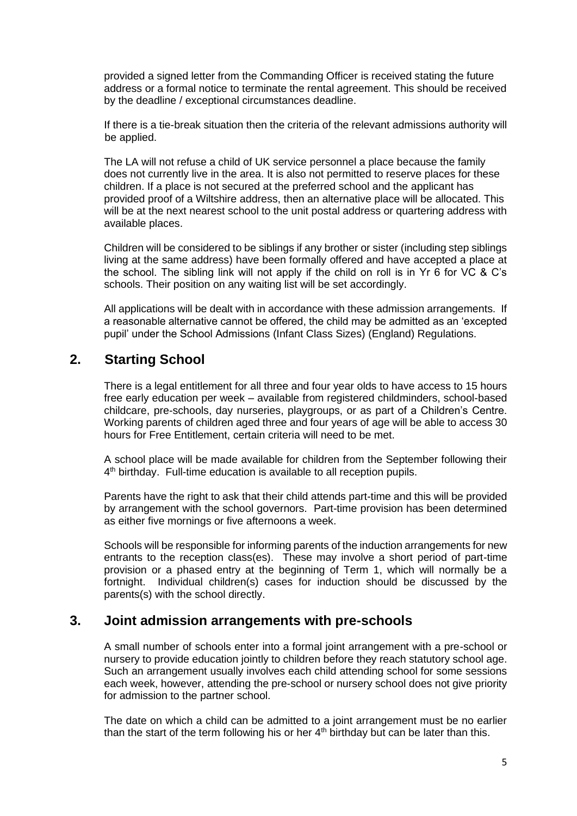provided a signed letter from the Commanding Officer is received stating the future address or a formal notice to terminate the rental agreement. This should be received by the deadline / exceptional circumstances deadline.

If there is a tie-break situation then the criteria of the relevant admissions authority will be applied.

The LA will not refuse a child of UK service personnel a place because the family does not currently live in the area. It is also not permitted to reserve places for these children. If a place is not secured at the preferred school and the applicant has provided proof of a Wiltshire address, then an alternative place will be allocated. This will be at the next nearest school to the unit postal address or quartering address with available places.

Children will be considered to be siblings if any brother or sister (including step siblings living at the same address) have been formally offered and have accepted a place at the school. The sibling link will not apply if the child on roll is in Yr 6 for VC & C's schools. Their position on any waiting list will be set accordingly.

All applications will be dealt with in accordance with these admission arrangements. If a reasonable alternative cannot be offered, the child may be admitted as an 'excepted pupil' under the School Admissions (Infant Class Sizes) (England) Regulations.

## **2. Starting School**

There is a legal entitlement for all three and four year olds to have access to 15 hours free early education per week – available from registered childminders, school-based childcare, pre-schools, day nurseries, playgroups, or as part of a Children's Centre. Working parents of children aged three and four years of age will be able to access 30 hours for Free Entitlement, certain criteria will need to be met.

A school place will be made available for children from the September following their 4<sup>th</sup> birthday. Full-time education is available to all reception pupils.

Parents have the right to ask that their child attends part-time and this will be provided by arrangement with the school governors. Part-time provision has been determined as either five mornings or five afternoons a week.

Schools will be responsible for informing parents of the induction arrangements for new entrants to the reception class(es). These may involve a short period of part-time provision or a phased entry at the beginning of Term 1, which will normally be a fortnight. Individual children(s) cases for induction should be discussed by the parents(s) with the school directly.

### **3. Joint admission arrangements with pre-schools**

A small number of schools enter into a formal joint arrangement with a pre-school or nursery to provide education jointly to children before they reach statutory school age. Such an arrangement usually involves each child attending school for some sessions each week, however, attending the pre-school or nursery school does not give priority for admission to the partner school.

The date on which a child can be admitted to a joint arrangement must be no earlier than the start of the term following his or her  $4<sup>th</sup>$  birthday but can be later than this.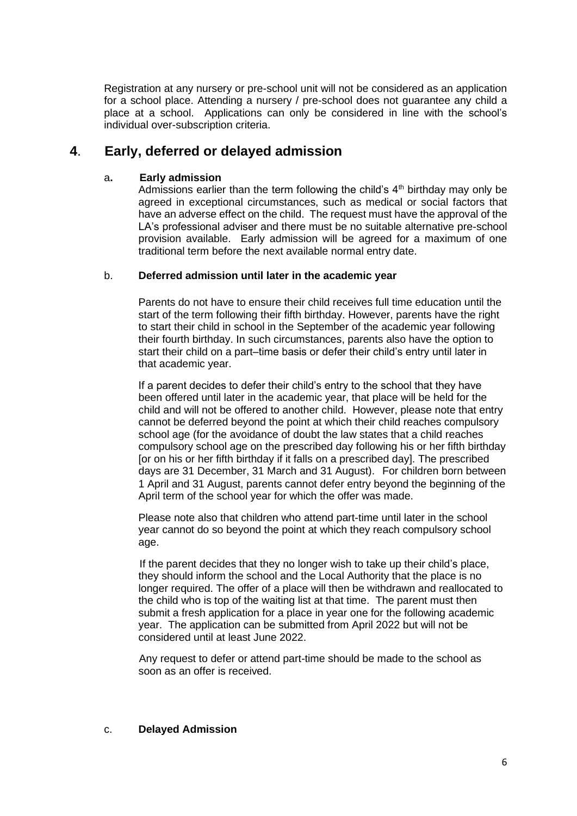Registration at any nursery or pre-school unit will not be considered as an application for a school place. Attending a nursery / pre-school does not guarantee any child a place at a school. Applications can only be considered in line with the school's individual over-subscription criteria.

## **4**. **Early, deferred or delayed admission**

### a**. Early admission**

Admissions earlier than the term following the child's  $4<sup>th</sup>$  birthday may only be agreed in exceptional circumstances, such as medical or social factors that have an adverse effect on the child. The request must have the approval of the LA's professional adviser and there must be no suitable alternative pre-school provision available. Early admission will be agreed for a maximum of one traditional term before the next available normal entry date.

### b. **Deferred admission until later in the academic year**

Parents do not have to ensure their child receives full time education until the start of the term following their fifth birthday. However, parents have the right to start their child in school in the September of the academic year following their fourth birthday. In such circumstances, parents also have the option to start their child on a part–time basis or defer their child's entry until later in that academic year.

If a parent decides to defer their child's entry to the school that they have been offered until later in the academic year, that place will be held for the child and will not be offered to another child. However, please note that entry cannot be deferred beyond the point at which their child reaches compulsory school age (for the avoidance of doubt the law states that a child reaches compulsory school age on the prescribed day following his or her fifth birthday [or on his or her fifth birthday if it falls on a prescribed day]. The prescribed days are 31 December, 31 March and 31 August). For children born between 1 April and 31 August, parents cannot defer entry beyond the beginning of the April term of the school year for which the offer was made.

Please note also that children who attend part-time until later in the school year cannot do so beyond the point at which they reach compulsory school age.

If the parent decides that they no longer wish to take up their child's place, they should inform the school and the Local Authority that the place is no longer required. The offer of a place will then be withdrawn and reallocated to the child who is top of the waiting list at that time. The parent must then submit a fresh application for a place in year one for the following academic year. The application can be submitted from April 2022 but will not be considered until at least June 2022.

Any request to defer or attend part-time should be made to the school as soon as an offer is received.

#### c. **Delayed Admission**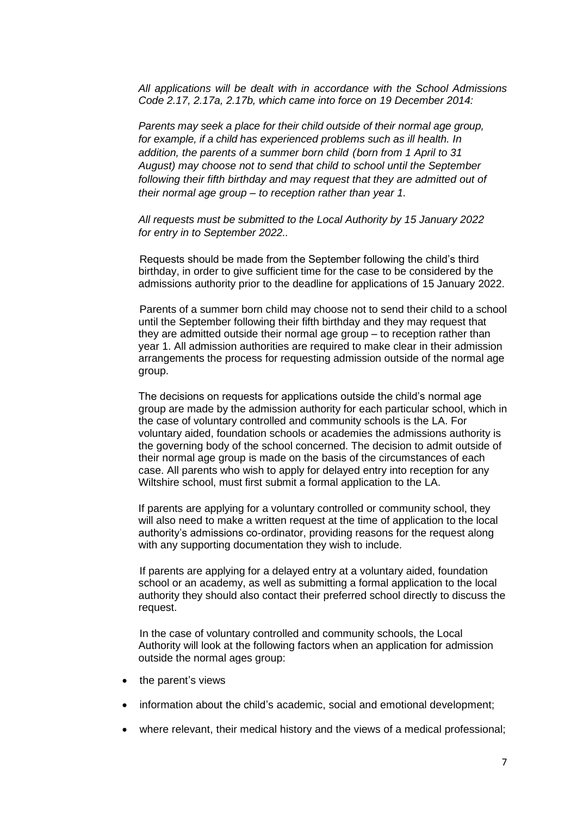*All applications will be dealt with in accordance with the School Admissions Code 2.17, 2.17a, 2.17b, which came into force on 19 December 2014:*

*Parents may seek a place for their child outside of their normal age group, for example, if a child has experienced problems such as ill health. In addition, the parents of a summer born child (born from 1 April to 31 August) may choose not to send that child to school until the September following their fifth birthday and may request that they are admitted out of their normal age group – to reception rather than year 1.*

*All requests must be submitted to the Local Authority by 15 January 2022 for entry in to September 2022..*

Requests should be made from the September following the child's third birthday, in order to give sufficient time for the case to be considered by the admissions authority prior to the deadline for applications of 15 January 2022.

Parents of a summer born child may choose not to send their child to a school until the September following their fifth birthday and they may request that they are admitted outside their normal age group – to reception rather than year 1. All admission authorities are required to make clear in their admission arrangements the process for requesting admission outside of the normal age group.

The decisions on requests for applications outside the child's normal age group are made by the admission authority for each particular school, which in the case of voluntary controlled and community schools is the LA. For voluntary aided, foundation schools or academies the admissions authority is the governing body of the school concerned. The decision to admit outside of their normal age group is made on the basis of the circumstances of each case. All parents who wish to apply for delayed entry into reception for any Wiltshire school, must first submit a formal application to the LA.

If parents are applying for a voluntary controlled or community school, they will also need to make a written request at the time of application to the local authority's admissions co-ordinator, providing reasons for the request along with any supporting documentation they wish to include.

If parents are applying for a delayed entry at a voluntary aided, foundation school or an academy, as well as submitting a formal application to the local authority they should also contact their preferred school directly to discuss the request.

In the case of voluntary controlled and community schools, the Local Authority will look at the following factors when an application for admission outside the normal ages group:

- the parent's views
- information about the child's academic, social and emotional development;
- where relevant, their medical history and the views of a medical professional;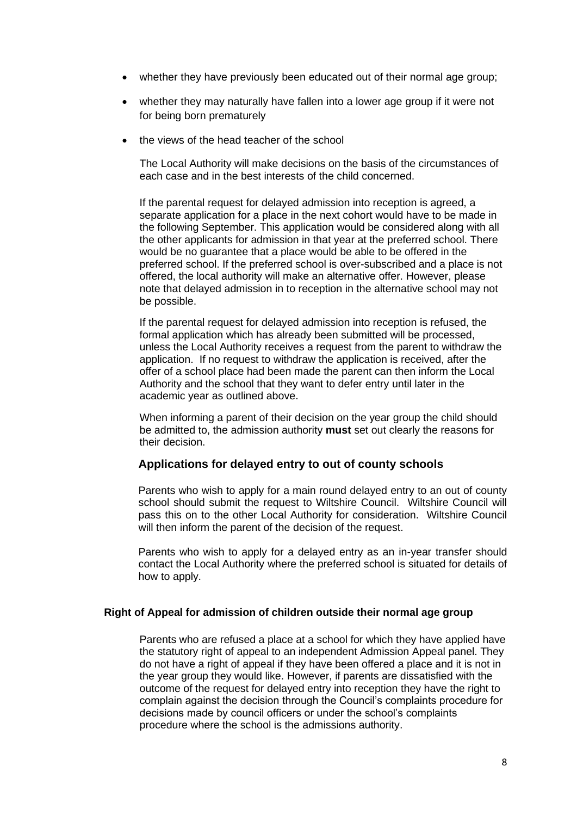- whether they have previously been educated out of their normal age group;
- whether they may naturally have fallen into a lower age group if it were not for being born prematurely
- the views of the head teacher of the school

The Local Authority will make decisions on the basis of the circumstances of each case and in the best interests of the child concerned.

If the parental request for delayed admission into reception is agreed, a separate application for a place in the next cohort would have to be made in the following September. This application would be considered along with all the other applicants for admission in that year at the preferred school. There would be no guarantee that a place would be able to be offered in the preferred school. If the preferred school is over-subscribed and a place is not offered, the local authority will make an alternative offer. However, please note that delayed admission in to reception in the alternative school may not be possible.

If the parental request for delayed admission into reception is refused, the formal application which has already been submitted will be processed, unless the Local Authority receives a request from the parent to withdraw the application. If no request to withdraw the application is received, after the offer of a school place had been made the parent can then inform the Local Authority and the school that they want to defer entry until later in the academic year as outlined above.

When informing a parent of their decision on the year group the child should be admitted to, the admission authority **must** set out clearly the reasons for their decision.

### **Applications for delayed entry to out of county schools**

Parents who wish to apply for a main round delayed entry to an out of county school should submit the request to Wiltshire Council. Wiltshire Council will pass this on to the other Local Authority for consideration. Wiltshire Council will then inform the parent of the decision of the request.

Parents who wish to apply for a delayed entry as an in-year transfer should contact the Local Authority where the preferred school is situated for details of how to apply.

#### **Right of Appeal for admission of children outside their normal age group**

Parents who are refused a place at a school for which they have applied have the statutory right of appeal to an independent Admission Appeal panel. They do not have a right of appeal if they have been offered a place and it is not in the year group they would like. However, if parents are dissatisfied with the outcome of the request for delayed entry into reception they have the right to complain against the decision through the Council's complaints procedure for decisions made by council officers or under the school's complaints procedure where the school is the admissions authority.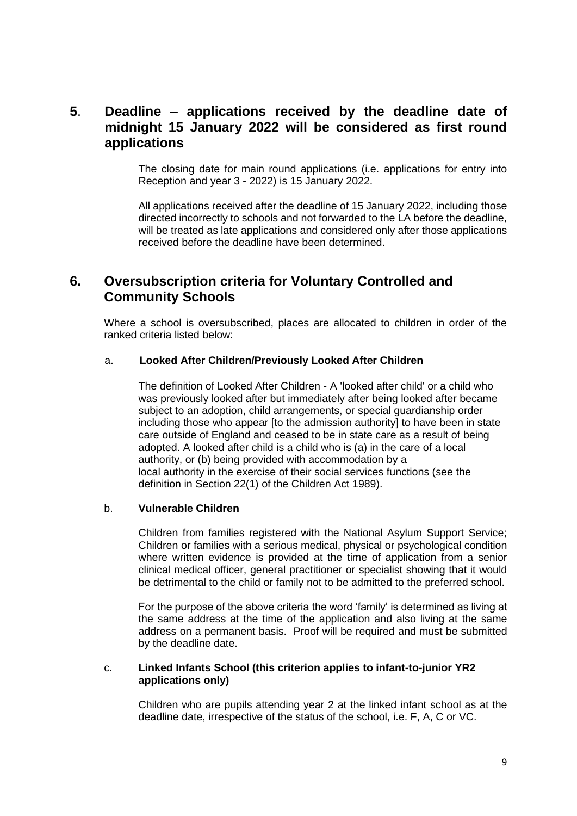## **5**. **Deadline – applications received by the deadline date of midnight 15 January 2022 will be considered as first round applications**

The closing date for main round applications (i.e. applications for entry into Reception and year 3 - 2022) is 15 January 2022.

All applications received after the deadline of 15 January 2022, including those directed incorrectly to schools and not forwarded to the LA before the deadline, will be treated as late applications and considered only after those applications received before the deadline have been determined.

## **6. Oversubscription criteria for Voluntary Controlled and Community Schools**

Where a school is oversubscribed, places are allocated to children in order of the ranked criteria listed below:

#### a. **Looked After Children/Previously Looked After Children**

The definition of Looked After Children - A 'looked after child' or a child who was previously looked after but immediately after being looked after became subject to an adoption, child arrangements, or special guardianship order including those who appear [to the admission authority] to have been in state care outside of England and ceased to be in state care as a result of being adopted. A looked after child is a child who is (a) in the care of a local authority, or (b) being provided with accommodation by a local authority in the exercise of their social services functions (see the definition in Section 22(1) of the Children Act 1989).

#### b. **Vulnerable Children**

Children from families registered with the National Asylum Support Service; Children or families with a serious medical, physical or psychological condition where written evidence is provided at the time of application from a senior clinical medical officer, general practitioner or specialist showing that it would be detrimental to the child or family not to be admitted to the preferred school.

For the purpose of the above criteria the word 'family' is determined as living at the same address at the time of the application and also living at the same address on a permanent basis. Proof will be required and must be submitted by the deadline date.

#### c. **Linked Infants School (this criterion applies to infant-to-junior YR2 applications only)**

Children who are pupils attending year 2 at the linked infant school as at the deadline date, irrespective of the status of the school, i.e. F, A, C or VC.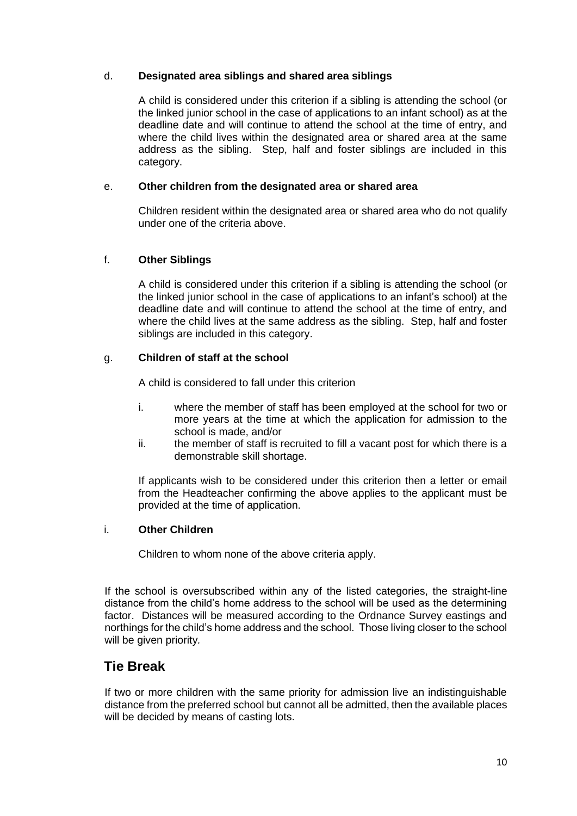### d. **Designated area siblings and shared area siblings**

A child is considered under this criterion if a sibling is attending the school (or the linked junior school in the case of applications to an infant school) as at the deadline date and will continue to attend the school at the time of entry, and where the child lives within the designated area or shared area at the same address as the sibling. Step, half and foster siblings are included in this category.

### e. **Other children from the designated area or shared area**

Children resident within the designated area or shared area who do not qualify under one of the criteria above.

### f. **Other Siblings**

A child is considered under this criterion if a sibling is attending the school (or the linked junior school in the case of applications to an infant's school) at the deadline date and will continue to attend the school at the time of entry, and where the child lives at the same address as the sibling. Step, half and foster siblings are included in this category.

### g. **Children of staff at the school**

A child is considered to fall under this criterion

- i. where the member of staff has been employed at the school for two or more years at the time at which the application for admission to the school is made, and/or
- ii. the member of staff is recruited to fill a vacant post for which there is a demonstrable skill shortage.

If applicants wish to be considered under this criterion then a letter or email from the Headteacher confirming the above applies to the applicant must be provided at the time of application.

### i. **Other Children**

Children to whom none of the above criteria apply.

If the school is oversubscribed within any of the listed categories, the straight-line distance from the child's home address to the school will be used as the determining factor. Distances will be measured according to the Ordnance Survey eastings and northings for the child's home address and the school. Those living closer to the school will be given priority*.*

## **Tie Break**

If two or more children with the same priority for admission live an indistinguishable distance from the preferred school but cannot all be admitted, then the available places will be decided by means of casting lots.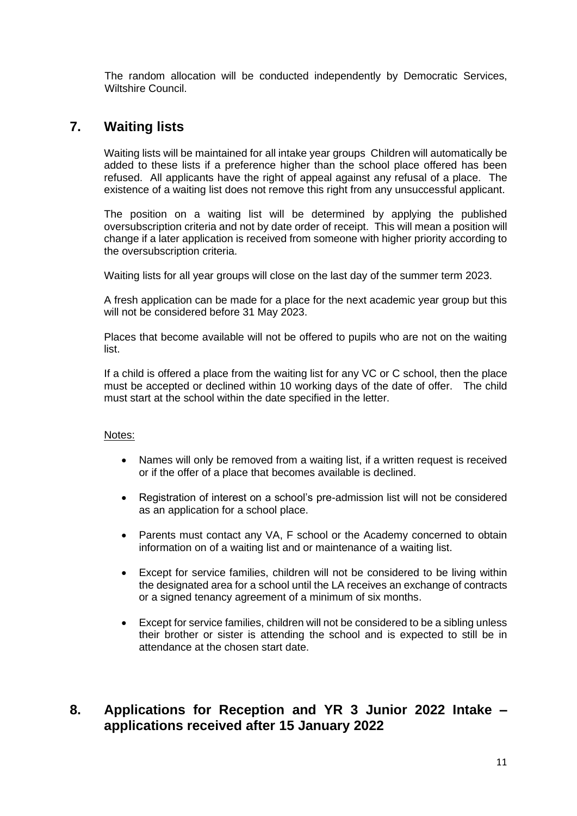The random allocation will be conducted independently by Democratic Services, Wiltshire Council.

## **7. Waiting lists**

Waiting lists will be maintained for all intake year groups Children will automatically be added to these lists if a preference higher than the school place offered has been refused. All applicants have the right of appeal against any refusal of a place. The existence of a waiting list does not remove this right from any unsuccessful applicant.

The position on a waiting list will be determined by applying the published oversubscription criteria and not by date order of receipt. This will mean a position will change if a later application is received from someone with higher priority according to the oversubscription criteria.

Waiting lists for all year groups will close on the last day of the summer term 2023.

A fresh application can be made for a place for the next academic year group but this will not be considered before 31 May 2023.

Places that become available will not be offered to pupils who are not on the waiting list.

If a child is offered a place from the waiting list for any VC or C school, then the place must be accepted or declined within 10 working days of the date of offer. The child must start at the school within the date specified in the letter.

### Notes:

- Names will only be removed from a waiting list, if a written request is received or if the offer of a place that becomes available is declined.
- Registration of interest on a school's pre-admission list will not be considered as an application for a school place.
- Parents must contact any VA, F school or the Academy concerned to obtain information on of a waiting list and or maintenance of a waiting list.
- Except for service families, children will not be considered to be living within the designated area for a school until the LA receives an exchange of contracts or a signed tenancy agreement of a minimum of six months.
- Except for service families, children will not be considered to be a sibling unless their brother or sister is attending the school and is expected to still be in attendance at the chosen start date.

## **8. Applications for Reception and YR 3 Junior 2022 Intake – applications received after 15 January 2022**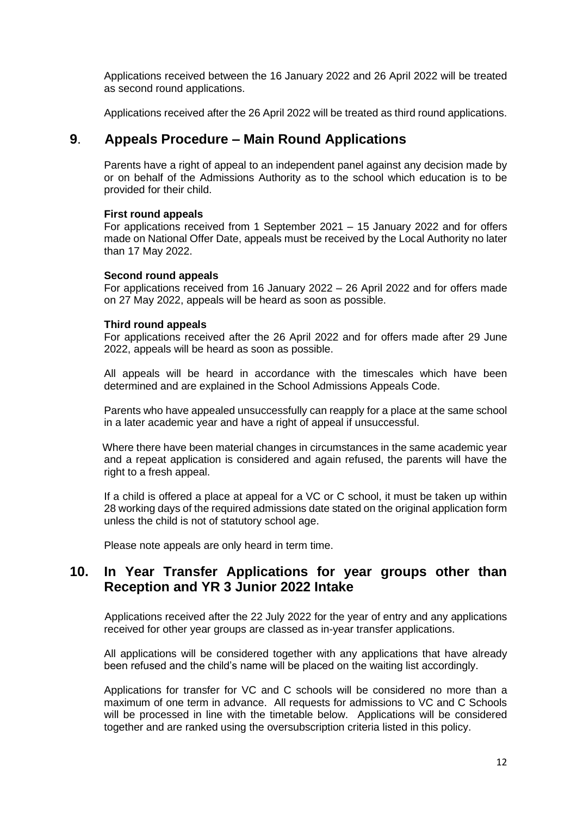Applications received between the 16 January 2022 and 26 April 2022 will be treated as second round applications.

Applications received after the 26 April 2022 will be treated as third round applications.

### **9**. **Appeals Procedure – Main Round Applications**

Parents have a right of appeal to an independent panel against any decision made by or on behalf of the Admissions Authority as to the school which education is to be provided for their child.

#### **First round appeals**

For applications received from 1 September 2021 – 15 January 2022 and for offers made on National Offer Date, appeals must be received by the Local Authority no later than 17 May 2022.

#### **Second round appeals**

For applications received from 16 January 2022 – 26 April 2022 and for offers made on 27 May 2022, appeals will be heard as soon as possible.

#### **Third round appeals**

For applications received after the 26 April 2022 and for offers made after 29 June 2022, appeals will be heard as soon as possible.

All appeals will be heard in accordance with the timescales which have been determined and are explained in the School Admissions Appeals Code.

Parents who have appealed unsuccessfully can reapply for a place at the same school in a later academic year and have a right of appeal if unsuccessful.

 Where there have been material changes in circumstances in the same academic year and a repeat application is considered and again refused, the parents will have the right to a fresh appeal.

If a child is offered a place at appeal for a VC or C school, it must be taken up within 28 working days of the required admissions date stated on the original application form unless the child is not of statutory school age.

Please note appeals are only heard in term time.

## **10. In Year Transfer Applications for year groups other than Reception and YR 3 Junior 2022 Intake**

Applications received after the 22 July 2022 for the year of entry and any applications received for other year groups are classed as in-year transfer applications.

All applications will be considered together with any applications that have already been refused and the child's name will be placed on the waiting list accordingly.

Applications for transfer for VC and C schools will be considered no more than a maximum of one term in advance. All requests for admissions to VC and C Schools will be processed in line with the timetable below. Applications will be considered together and are ranked using the oversubscription criteria listed in this policy.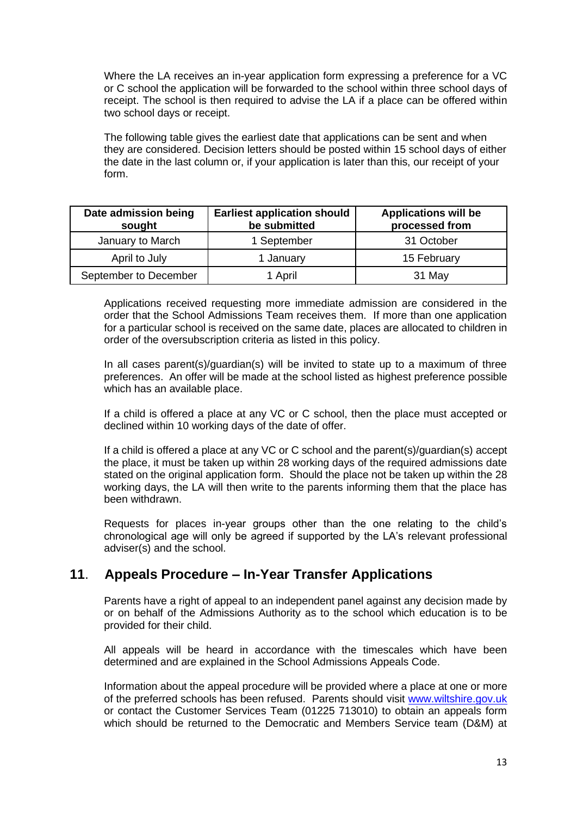Where the LA receives an in-year application form expressing a preference for a VC or C school the application will be forwarded to the school within three school days of receipt. The school is then required to advise the LA if a place can be offered within two school days or receipt.

The following table gives the earliest date that applications can be sent and when they are considered. Decision letters should be posted within 15 school days of either the date in the last column or, if your application is later than this, our receipt of your form.

| Date admission being<br>sought | <b>Earliest application should</b><br>be submitted | <b>Applications will be</b><br>processed from |
|--------------------------------|----------------------------------------------------|-----------------------------------------------|
| January to March               | 1 September                                        | 31 October                                    |
| April to July                  | 1 January                                          | 15 February                                   |
| September to December          | 1 April                                            | 31 May                                        |

Applications received requesting more immediate admission are considered in the order that the School Admissions Team receives them. If more than one application for a particular school is received on the same date, places are allocated to children in order of the oversubscription criteria as listed in this policy.

In all cases parent(s)/guardian(s) will be invited to state up to a maximum of three preferences. An offer will be made at the school listed as highest preference possible which has an available place.

If a child is offered a place at any VC or C school, then the place must accepted or declined within 10 working days of the date of offer.

If a child is offered a place at any VC or C school and the parent(s)/guardian(s) accept the place, it must be taken up within 28 working days of the required admissions date stated on the original application form. Should the place not be taken up within the 28 working days, the LA will then write to the parents informing them that the place has been withdrawn.

Requests for places in-year groups other than the one relating to the child's chronological age will only be agreed if supported by the LA's relevant professional adviser(s) and the school.

## **11**. **Appeals Procedure – In-Year Transfer Applications**

Parents have a right of appeal to an independent panel against any decision made by or on behalf of the Admissions Authority as to the school which education is to be provided for their child.

All appeals will be heard in accordance with the timescales which have been determined and are explained in the School Admissions Appeals Code.

Information about the appeal procedure will be provided where a place at one or more of the preferred schools has been refused. Parents should visit [www.wiltshire.gov.uk](http://www.wiltshire.gov.uk/) or contact the Customer Services Team (01225 713010) to obtain an appeals form which should be returned to the Democratic and Members Service team (D&M) at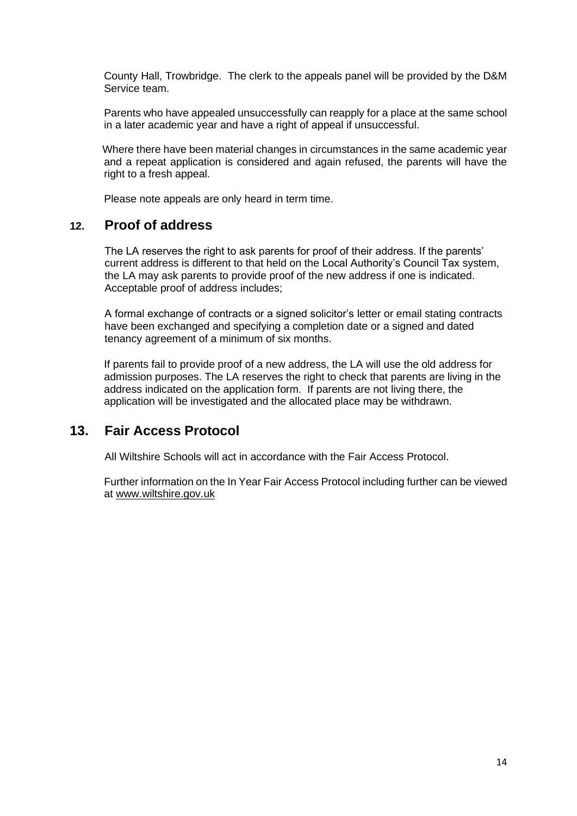County Hall, Trowbridge. The clerk to the appeals panel will be provided by the D&M Service team.

Parents who have appealed unsuccessfully can reapply for a place at the same school in a later academic year and have a right of appeal if unsuccessful.

 Where there have been material changes in circumstances in the same academic year and a repeat application is considered and again refused, the parents will have the right to a fresh appeal.

Please note appeals are only heard in term time.

### **12. Proof of address**

The LA reserves the right to ask parents for proof of their address. If the parents' current address is different to that held on the Local Authority's Council Tax system, the LA may ask parents to provide proof of the new address if one is indicated. Acceptable proof of address includes;

A formal exchange of contracts or a signed solicitor's letter or email stating contracts have been exchanged and specifying a completion date or a signed and dated tenancy agreement of a minimum of six months.

If parents fail to provide proof of a new address, the LA will use the old address for admission purposes. The LA reserves the right to check that parents are living in the address indicated on the application form. If parents are not living there, the application will be investigated and the allocated place may be withdrawn.

## **13. Fair Access Protocol**

All Wiltshire Schools will act in accordance with the Fair Access Protocol.

Further information on the In Year Fair Access Protocol including further can be viewed at [www.wiltshire.gov.uk](http://www.wiltshire.gov.uk/)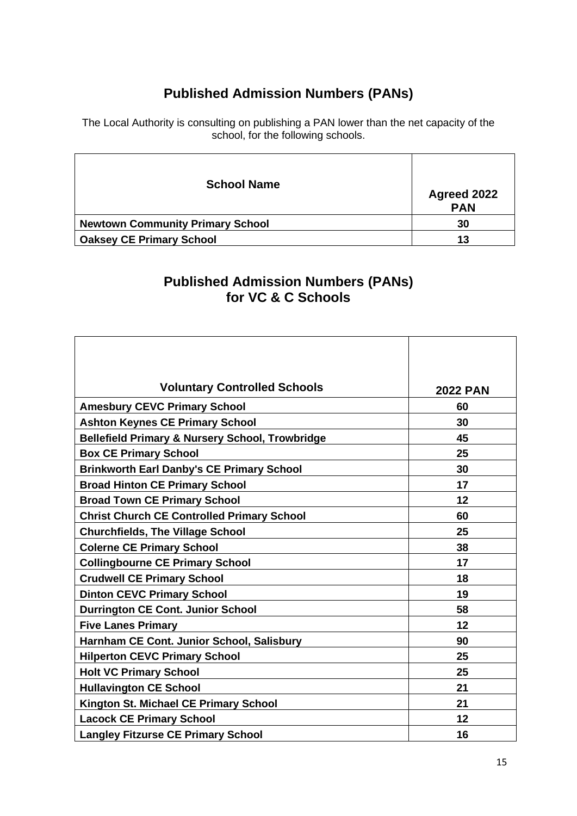# **Published Admission Numbers (PANs)**

The Local Authority is consulting on publishing a PAN lower than the net capacity of the school, for the following schools.

| <b>School Name</b>                      | Agreed 2022<br><b>PAN</b> |
|-----------------------------------------|---------------------------|
| <b>Newtown Community Primary School</b> | 30                        |
| <b>Oaksey CE Primary School</b>         | 13                        |

## **Published Admission Numbers (PANs) for VC & C Schools**

| <b>Voluntary Controlled Schools</b>                        | <b>2022 PAN</b> |
|------------------------------------------------------------|-----------------|
| <b>Amesbury CEVC Primary School</b>                        | 60              |
| <b>Ashton Keynes CE Primary School</b>                     | 30              |
| <b>Bellefield Primary &amp; Nursery School, Trowbridge</b> | 45              |
| <b>Box CE Primary School</b>                               | 25              |
| <b>Brinkworth Earl Danby's CE Primary School</b>           | 30              |
| <b>Broad Hinton CE Primary School</b>                      | 17              |
| <b>Broad Town CE Primary School</b>                        | 12              |
| <b>Christ Church CE Controlled Primary School</b>          | 60              |
| <b>Churchfields, The Village School</b>                    | 25              |
| <b>Colerne CE Primary School</b>                           | 38              |
| <b>Collingbourne CE Primary School</b>                     | 17              |
| <b>Crudwell CE Primary School</b>                          | 18              |
| <b>Dinton CEVC Primary School</b>                          | 19              |
| <b>Durrington CE Cont. Junior School</b>                   | 58              |
| <b>Five Lanes Primary</b>                                  | 12              |
| Harnham CE Cont. Junior School, Salisbury                  | 90              |
| <b>Hilperton CEVC Primary School</b>                       | 25              |
| <b>Holt VC Primary School</b>                              | 25              |
| <b>Hullavington CE School</b>                              | 21              |
| Kington St. Michael CE Primary School                      | 21              |
| <b>Lacock CE Primary School</b>                            | 12              |
| <b>Langley Fitzurse CE Primary School</b>                  | 16              |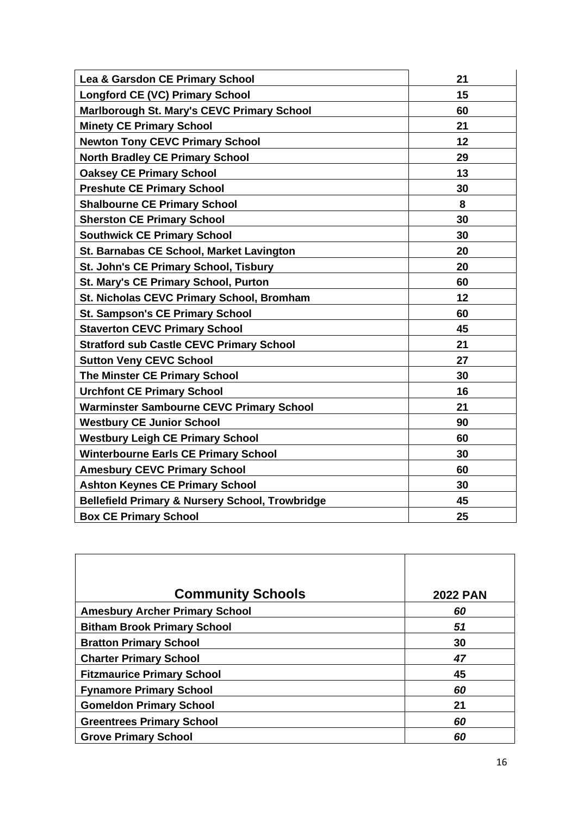| Lea & Garsdon CE Primary School                            | 21 |
|------------------------------------------------------------|----|
| <b>Longford CE (VC) Primary School</b>                     | 15 |
| Marlborough St. Mary's CEVC Primary School                 | 60 |
| <b>Minety CE Primary School</b>                            | 21 |
| <b>Newton Tony CEVC Primary School</b>                     | 12 |
| <b>North Bradley CE Primary School</b>                     | 29 |
| <b>Oaksey CE Primary School</b>                            | 13 |
| <b>Preshute CE Primary School</b>                          | 30 |
| <b>Shalbourne CE Primary School</b>                        | 8  |
| <b>Sherston CE Primary School</b>                          | 30 |
| <b>Southwick CE Primary School</b>                         | 30 |
| St. Barnabas CE School, Market Lavington                   | 20 |
| St. John's CE Primary School, Tisbury                      | 20 |
| <b>St. Mary's CE Primary School, Purton</b>                | 60 |
| <b>St. Nicholas CEVC Primary School, Bromham</b>           | 12 |
| <b>St. Sampson's CE Primary School</b>                     | 60 |
| <b>Staverton CEVC Primary School</b>                       | 45 |
| <b>Stratford sub Castle CEVC Primary School</b>            | 21 |
| <b>Sutton Veny CEVC School</b>                             | 27 |
| <b>The Minster CE Primary School</b>                       | 30 |
| <b>Urchfont CE Primary School</b>                          | 16 |
| <b>Warminster Sambourne CEVC Primary School</b>            | 21 |
| <b>Westbury CE Junior School</b>                           | 90 |
| <b>Westbury Leigh CE Primary School</b>                    | 60 |
| <b>Winterbourne Earls CE Primary School</b>                | 30 |
| <b>Amesbury CEVC Primary School</b>                        | 60 |
| <b>Ashton Keynes CE Primary School</b>                     | 30 |
| <b>Bellefield Primary &amp; Nursery School, Trowbridge</b> | 45 |
| <b>Box CE Primary School</b>                               | 25 |

| <b>Community Schools</b>              | <b>2022 PAN</b> |
|---------------------------------------|-----------------|
| <b>Amesbury Archer Primary School</b> | 60              |
| <b>Bitham Brook Primary School</b>    | 51              |
| <b>Bratton Primary School</b>         | 30              |
| <b>Charter Primary School</b>         | 47              |
| <b>Fitzmaurice Primary School</b>     | 45              |
| <b>Fynamore Primary School</b>        | 60              |
| <b>Gomeldon Primary School</b>        | 21              |
| <b>Greentrees Primary School</b>      | 60              |
| <b>Grove Primary School</b>           | 60              |